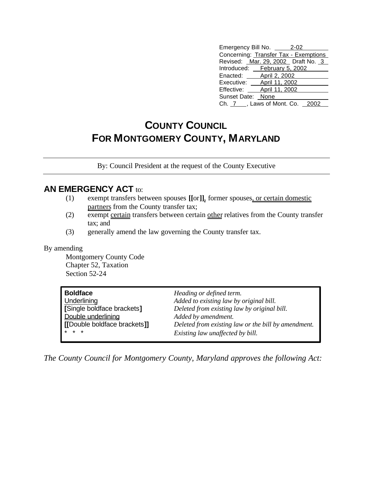| Emergency Bill No. 2-02               |
|---------------------------------------|
| Concerning: Transfer Tax - Exemptions |
| Revised: Mar. 29, 2002 Draft No. 3    |
| Introduced: February 5, 2002          |
| Enacted: April 2, 2002                |
| Executive: __ April 11, 2002          |
| Effective: April 11, 2002             |
| Sunset Date: None                     |
| Ch. 7 ___, Laws of Mont. Co. 2002     |

## **COUNTY COUNCIL FOR MONTGOMERY COUNTY, MARYLAND**

By: Council President at the request of the County Executive

## **AN EMERGENCY ACT to:**

- (1) exempt transfers between spouses **[[**or**]]**, former spouses, or certain domestic partners from the County transfer tax;
- (2) exempt certain transfers between certain other relatives from the County transfer tax; and
- (3) generally amend the law governing the County transfer tax.

## By amending

Montgomery County Code Chapter 52, Taxation Section 52-24

| <b>Boldface</b>               | Heading or defined term.                            |
|-------------------------------|-----------------------------------------------------|
| <b>Underlining</b>            | Added to existing law by original bill.             |
| [Single boldface brackets]    | Deleted from existing law by original bill.         |
| Double underlining            | Added by amendment.                                 |
| I IDouble boldface brackets]] | Deleted from existing law or the bill by amendment. |
| $*$ * *                       | Existing law unaffected by bill.                    |

*The County Council for Montgomery County, Maryland approves the following Act:*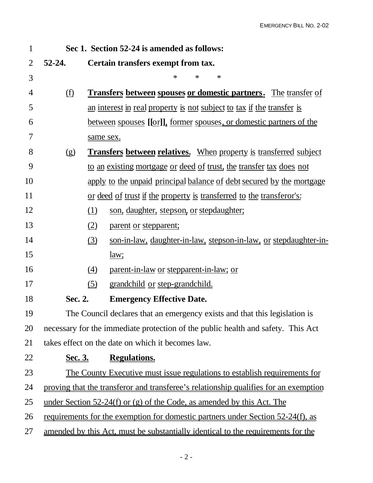| $\mathbf{1}$   | Sec 1. Section 52-24 is amended as follows:                                      |                                                                                      |  |  |  |
|----------------|----------------------------------------------------------------------------------|--------------------------------------------------------------------------------------|--|--|--|
| $\overline{2}$ | $52 - 24.$                                                                       | Certain transfers exempt from tax.                                                   |  |  |  |
| 3              |                                                                                  | $\ast$<br>∗<br>$\ast$                                                                |  |  |  |
| $\overline{4}$ | (f)                                                                              | <b>Transfers between spouses or domestic partners.</b> The transfer of               |  |  |  |
| 5              |                                                                                  | an interest in real property is not subject to tax if the transfer is                |  |  |  |
| 6              |                                                                                  | <u>between spouses [[or]], former spouses, or domestic partners of the</u>           |  |  |  |
| 7              |                                                                                  | same sex.                                                                            |  |  |  |
| 8              | <b>Transfers between relatives.</b> When property is transferred subject<br>(g)  |                                                                                      |  |  |  |
| 9              |                                                                                  | to an existing mortgage or deed of trust, the transfer tax does not                  |  |  |  |
| 10             |                                                                                  | apply to the unpaid principal balance of debt secured by the mortgage                |  |  |  |
| 11             |                                                                                  | or deed of trust if the property is transferred to the transferor's:                 |  |  |  |
| 12             |                                                                                  | (1)<br>son, daughter, stepson, or stepdaughter;                                      |  |  |  |
| 13             |                                                                                  | (2)<br>parent or stepparent;                                                         |  |  |  |
| 14             |                                                                                  | (3)<br>son-in-law, daughter-in-law, stepson-in-law, or stepdaughter-in-              |  |  |  |
| 15             |                                                                                  | law;                                                                                 |  |  |  |
| 16             |                                                                                  | $\left(4\right)$<br>parent-in-law or stepparent-in-law; or                           |  |  |  |
| 17             |                                                                                  | (5)<br>grandchild or step-grandchild.                                                |  |  |  |
| 18             | Sec. 2.                                                                          | <b>Emergency Effective Date.</b>                                                     |  |  |  |
| 19             |                                                                                  | The Council declares that an emergency exists and that this legislation is           |  |  |  |
| 20             | necessary for the immediate protection of the public health and safety. This Act |                                                                                      |  |  |  |
| 21             |                                                                                  | takes effect on the date on which it becomes law.                                    |  |  |  |
| 22             | <u>Sec. 3.</u>                                                                   | <b>Regulations.</b>                                                                  |  |  |  |
| 23             |                                                                                  | <u>The County Executive must issue regulations to establish requirements for</u>     |  |  |  |
| 24             |                                                                                  | proving that the transferor and transferee's relationship qualifies for an exemption |  |  |  |
| 25             |                                                                                  | <u>under Section 52-24(f) or (g) of the Code, as amended by this Act. The</u>        |  |  |  |
| 26             |                                                                                  | requirements for the exemption for domestic partners under Section 52-24(f), as      |  |  |  |
| 27             |                                                                                  | amended by this Act, must be substantially identical to the requirements for the     |  |  |  |